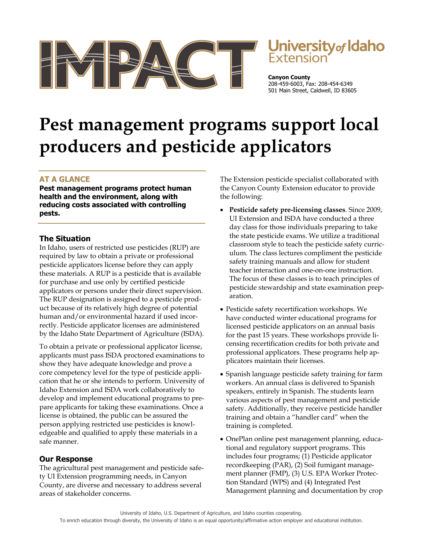

# **Jniversity** of Idaho

**Canyon County** 208-459-6003, Fax: 208-454-6349 501 Main Street, Caldwell, ID 83605

# **Pest management programs support local producers and pesticide applicators**

# **AT A GLANCE**

**Pest management programs protect human health and the environment, along with reducing costs associated with controlling pests.** 

# **The Situation**

In Idaho, users of restricted use pesticides (RUP) are required by law to obtain a private or professional pesticide applicators license before they can apply these materials. A RUP is a pesticide that is available for purchase and use only by certified pesticide applicators or persons under their direct supervision. The RUP designation is assigned to a pesticide product because of its relatively high degree of potential human and/or environmental hazard if used incorrectly. Pesticide applicator licenses are administered by the Idaho State Department of Agriculture (ISDA).

To obtain a private or professional applicator license, applicants must pass ISDA proctored examinations to show they have adequate knowledge and prove a core competency level for the type of pesticide application that he or she intends to perform. University of Idaho Extension and ISDA work collaboratively to develop and implement educational programs to prepare applicants for taking these examinations. Once a license is obtained, the public can be assured the person applying restricted use pesticides is knowledgeable and qualified to apply these materials in a safe manner.

# **Our Response**

The agricultural pest management and pesticide safety UI Extension programming needs, in Canyon County, are diverse and necessary to address several areas of stakeholder concerns.

The Extension pesticide specialist collaborated with the Canyon County Extension educator to provide the following:

- **Pesticide safety pre-licensing classes**. Since 2009, UI Extension and ISDA have conducted a three day class for those individuals preparing to take the state pesticide exams. We utilize a traditional classroom style to teach the pesticide safety curriculum. The class lectures compliment the pesticide safety training manuals and allow for student teacher interaction and one-on-one instruction. The focus of these classes is to teach principles of pesticide stewardship and state examination preparation.
- Pesticide safety recertification workshops. We have conducted winter educational programs for licensed pesticide applicators on an annual basis for the past 15 years. These workshops provide licensing recertification credits for both private and professional applicators. These programs help applicators maintain their licenses.
- Spanish language pesticide safety training for farm workers. An annual class is delivered to Spanish speakers, entirely in Spanish. The students learn various aspects of pest management and pesticide safety. Additionally, they receive pesticide handler training and obtain a "handler card" when the training is completed.
- OnePlan online pest management planning, educational and regulatory support programs. This includes four programs; (1) Pesticide applicator recordkeeping (PAR), (2) Soil fumigant management planner (FMP), (3) U.S. EPA Worker Protection Standard (WPS) and (4) Integrated Pest Management planning and documentation by crop